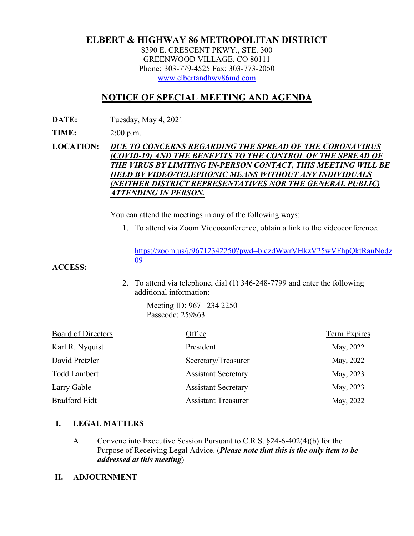# **ELBERT & HIGHWAY 86 METROPOLITAN DISTRICT**

8390 E. CRESCENT PKWY., STE. 300 GREENWOOD VILLAGE, CO 80111 Phone: 303-779-4525 Fax: 303-773-2050 [www.elbertandhwy86md.com](http://www.elbertandhwy86md.com/) 

## **NOTICE OF SPECIAL MEETING AND AGENDA**

**DATE:** Tuesday, May 4, 2021

**TIME:** 2:00 p.m.

### **LOCATION:** *DUE TO CONCERNS REGARDING THE SPREAD OF THE CORONAVIRUS (COVID-19) AND THE BENEFITS TO THE CONTROL OF THE SPREAD OF THE VIRUS BY LIMITING IN-PERSON CONTACT, THIS MEETING WILL BE HELD BY VIDEO/TELEPHONIC MEANS WITHOUT ANY INDIVIDUALS (NEITHER DISTRICT REPRESENTATIVES NOR THE GENERAL PUBLIC) ATTENDING IN PERSON.*

You can attend the meetings in any of the following ways:

1. To attend via Zoom Videoconference, obtain a link to the videoconference.

[https://zoom.us/j/96712342250?pwd=blczdWwrVHkzV25wVFhpQktRanNodz](https://zoom.us/j/96712342250?pwd=blczdWwrVHkzV25wVFhpQktRanNodz09) [09](https://zoom.us/j/96712342250?pwd=blczdWwrVHkzV25wVFhpQktRanNodz09)

#### **ACCESS:**

2. To attend via telephone, dial (1) 346-248-7799 and enter the following additional information:

> Meeting ID: 967 1234 2250 Passcode: 259863

| Office                     | <b>Term Expires</b> |
|----------------------------|---------------------|
| President                  | May, 2022           |
| Secretary/Treasurer        | May, 2022           |
| <b>Assistant Secretary</b> | May, 2023           |
| <b>Assistant Secretary</b> | May, 2023           |
| <b>Assistant Treasurer</b> | May, 2022           |
|                            |                     |

### **I. LEGAL MATTERS**

- A. Convene into Executive Session Pursuant to C.R.S. §24-6-402(4)(b) for the Purpose of Receiving Legal Advice. (*Please note that this is the only item to be addressed at this meeting*)
- **II. ADJOURNMENT**